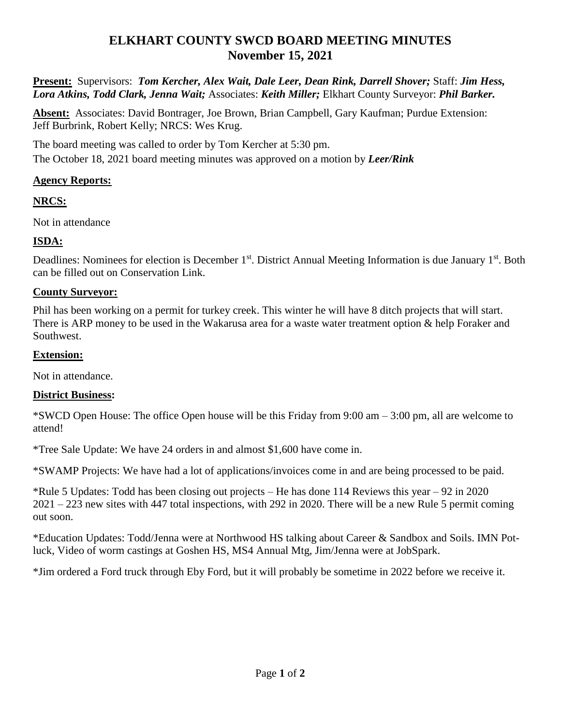# **ELKHART COUNTY SWCD BOARD MEETING MINUTES November 15, 2021**

**Present:** Supervisors: *Tom Kercher, Alex Wait, Dale Leer, Dean Rink, Darrell Shover;* Staff: *Jim Hess, Lora Atkins, Todd Clark, Jenna Wait;* Associates: *Keith Miller;* Elkhart County Surveyor: *Phil Barker.*

**Absent:** Associates: David Bontrager, Joe Brown, Brian Campbell, Gary Kaufman; Purdue Extension: Jeff Burbrink, Robert Kelly; NRCS: Wes Krug.

The board meeting was called to order by Tom Kercher at 5:30 pm. The October 18, 2021 board meeting minutes was approved on a motion by *Leer/Rink*

## **Agency Reports:**

## **NRCS:**

Not in attendance

## **ISDA:**

Deadlines: Nominees for election is December 1<sup>st</sup>. District Annual Meeting Information is due January 1<sup>st</sup>. Both can be filled out on Conservation Link.

### **County Surveyor:**

Phil has been working on a permit for turkey creek. This winter he will have 8 ditch projects that will start. There is ARP money to be used in the Wakarusa area for a waste water treatment option & help Foraker and Southwest.

#### **Extension:**

Not in attendance.

#### **District Business:**

\*SWCD Open House: The office Open house will be this Friday from 9:00 am – 3:00 pm, all are welcome to attend!

\*Tree Sale Update: We have 24 orders in and almost \$1,600 have come in.

\*SWAMP Projects: We have had a lot of applications/invoices come in and are being processed to be paid.

\*Rule 5 Updates: Todd has been closing out projects – He has done 114 Reviews this year – 92 in 2020 2021 – 223 new sites with 447 total inspections, with 292 in 2020. There will be a new Rule 5 permit coming out soon.

\*Education Updates: Todd/Jenna were at Northwood HS talking about Career & Sandbox and Soils. IMN Potluck, Video of worm castings at Goshen HS, MS4 Annual Mtg, Jim/Jenna were at JobSpark.

\*Jim ordered a Ford truck through Eby Ford, but it will probably be sometime in 2022 before we receive it.